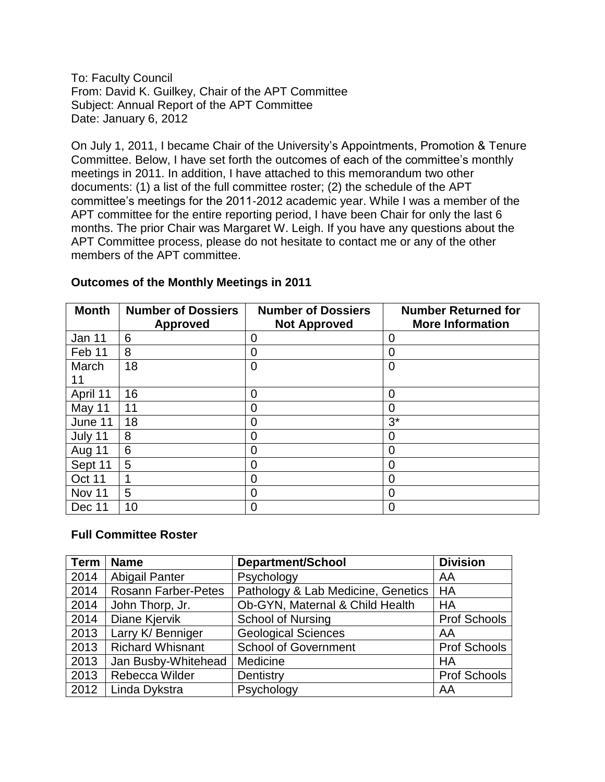To: Faculty Council From: David K. Guilkey, Chair of the APT Committee Subject: Annual Report of the APT Committee Date: January 6, 2012

On July 1, 2011, I became Chair of the University's Appointments, Promotion & Tenure Committee. Below, I have set forth the outcomes of each of the committee's monthly meetings in 2011. In addition, I have attached to this memorandum two other documents: (1) a list of the full committee roster; (2) the schedule of the APT committee's meetings for the 2011‐2012 academic year. While I was a member of the APT committee for the entire reporting period, I have been Chair for only the last 6 months. The prior Chair was Margaret W. Leigh. If you have any questions about the APT Committee process, please do not hesitate to contact me or any of the other members of the APT committee.

| <b>Month</b>  | <b>Number of Dossiers</b><br><b>Approved</b> | <b>Number of Dossiers</b><br><b>Not Approved</b> | <b>Number Returned for</b><br><b>More Information</b> |
|---------------|----------------------------------------------|--------------------------------------------------|-------------------------------------------------------|
| Jan 11        | 6                                            | 0                                                | 0                                                     |
| Feb 11        | 8                                            | 0                                                | 0                                                     |
| March         | 18                                           | $\overline{0}$                                   | $\overline{0}$                                        |
| 11            |                                              |                                                  |                                                       |
| April 11      | 16                                           | 0                                                | 0                                                     |
| May 11        | 11                                           | 0                                                | 0                                                     |
| June 11       | 18                                           | 0                                                | $3^*$                                                 |
| July 11       | 8                                            | O                                                |                                                       |
| <b>Aug 11</b> | 6                                            | 0                                                | 0                                                     |
| Sept 11       | 5                                            | O                                                |                                                       |
| Oct 11        |                                              | 0                                                | 0                                                     |
| Nov 11        | 5                                            | 0                                                | 0                                                     |
| Dec 11        | 10                                           | 0                                                | 0                                                     |

## **Outcomes of the Monthly Meetings in 2011**

## **Full Committee Roster**

| <b>Term</b> | <b>Name</b>                | <b>Department/School</b>           | <b>Division</b>     |
|-------------|----------------------------|------------------------------------|---------------------|
| 2014        | <b>Abigail Panter</b>      | Psychology                         | AA                  |
| 2014        | <b>Rosann Farber-Petes</b> | Pathology & Lab Medicine, Genetics | HA                  |
| 2014        | John Thorp, Jr.            | Ob-GYN, Maternal & Child Health    | HA                  |
| 2014        | Diane Kjervik              | <b>School of Nursing</b>           | <b>Prof Schools</b> |
| 2013        | Larry K/ Benniger          | <b>Geological Sciences</b>         | AA                  |
| 2013        | <b>Richard Whisnant</b>    | <b>School of Government</b>        | <b>Prof Schools</b> |
| 2013        | Jan Busby-Whitehead        | Medicine                           | HA                  |
| 2013        | Rebecca Wilder             | Dentistry                          | <b>Prof Schools</b> |
| 2012        | Linda Dykstra              | Psychology                         | AA                  |